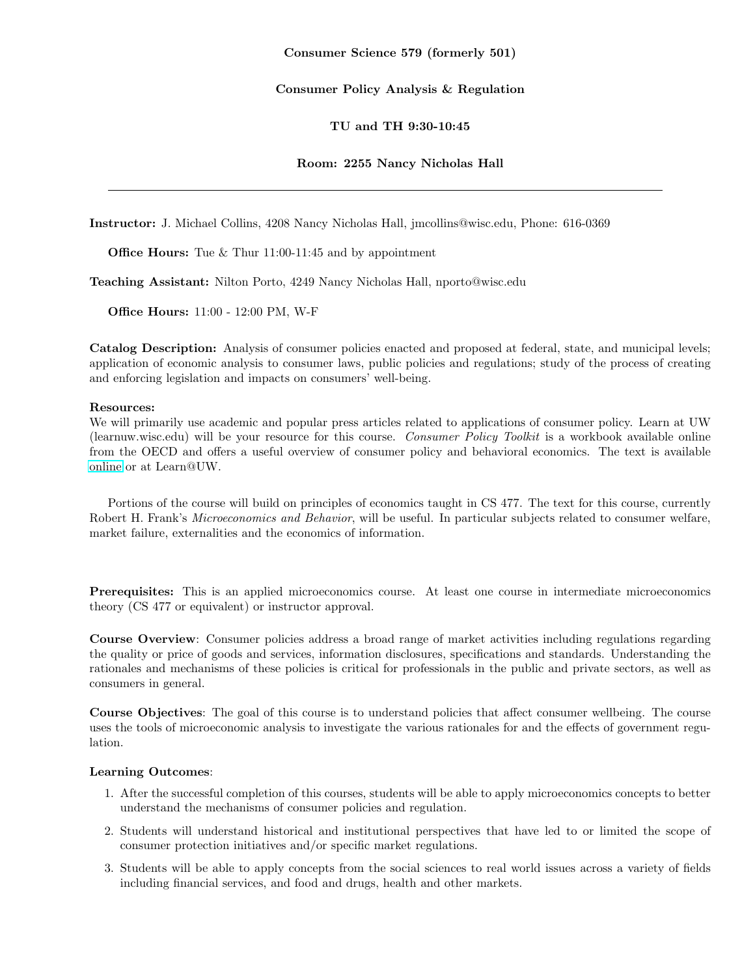#### Consumer Policy Analysis & Regulation

#### TU and TH 9:30-10:45

#### Room: 2255 Nancy Nicholas Hall

Instructor: J. Michael Collins, 4208 Nancy Nicholas Hall, jmcollins@wisc.edu, Phone: 616-0369

**Office Hours:** Tue & Thur 11:00-11:45 and by appointment

Teaching Assistant: Nilton Porto, 4249 Nancy Nicholas Hall, nporto@wisc.edu

Office Hours: 11:00 - 12:00 PM, W-F

Catalog Description: Analysis of consumer policies enacted and proposed at federal, state, and municipal levels; application of economic analysis to consumer laws, public policies and regulations; study of the process of creating and enforcing legislation and impacts on consumers' well-being.

#### Resources:

We will primarily use academic and popular press articles related to applications of consumer policy. Learn at UW (learnuw.wisc.edu) will be your resource for this course. Consumer Policy Toolkit is a workbook available online from the OECD and offers a useful overview of consumer policy and behavioral economics. The text is available [online](http://www.keepeek.com/Digital-Asset-Management/oecd/governance/consumer-policy-toolkit_9789264079663-en) or at Learn@UW.

Portions of the course will build on principles of economics taught in CS 477. The text for this course, currently Robert H. Frank's Microeconomics and Behavior, will be useful. In particular subjects related to consumer welfare, market failure, externalities and the economics of information.

Prerequisites: This is an applied microeconomics course. At least one course in intermediate microeconomics theory (CS 477 or equivalent) or instructor approval.

Course Overview: Consumer policies address a broad range of market activities including regulations regarding the quality or price of goods and services, information disclosures, specifications and standards. Understanding the rationales and mechanisms of these policies is critical for professionals in the public and private sectors, as well as consumers in general.

Course Objectives: The goal of this course is to understand policies that affect consumer wellbeing. The course uses the tools of microeconomic analysis to investigate the various rationales for and the effects of government regulation.

### Learning Outcomes:

- 1. After the successful completion of this courses, students will be able to apply microeconomics concepts to better understand the mechanisms of consumer policies and regulation.
- 2. Students will understand historical and institutional perspectives that have led to or limited the scope of consumer protection initiatives and/or specific market regulations.
- 3. Students will be able to apply concepts from the social sciences to real world issues across a variety of fields including financial services, and food and drugs, health and other markets.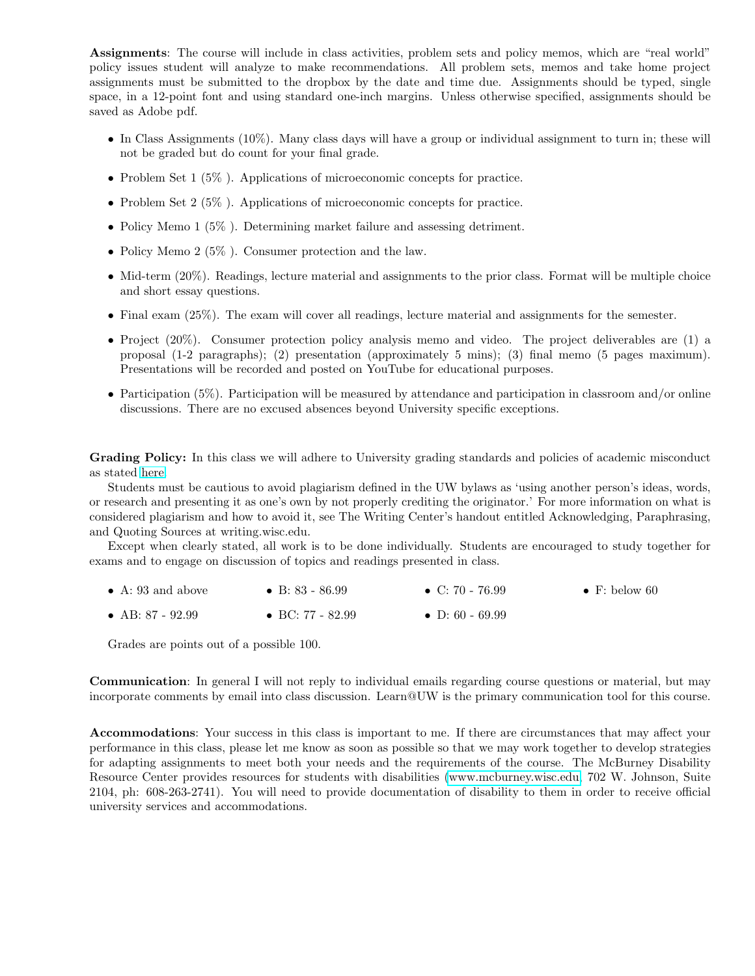Assignments: The course will include in class activities, problem sets and policy memos, which are "real world" policy issues student will analyze to make recommendations. All problem sets, memos and take home project assignments must be submitted to the dropbox by the date and time due. Assignments should be typed, single space, in a 12-point font and using standard one-inch margins. Unless otherwise specified, assignments should be saved as Adobe pdf.

- In Class Assignments (10%). Many class days will have a group or individual assignment to turn in; these will not be graded but do count for your final grade.
- Problem Set 1 (5%). Applications of microeconomic concepts for practice.
- Problem Set 2 (5%). Applications of microeconomic concepts for practice.
- Policy Memo 1 (5%). Determining market failure and assessing detriment.
- Policy Memo 2 (5%). Consumer protection and the law.
- Mid-term (20%). Readings, lecture material and assignments to the prior class. Format will be multiple choice and short essay questions.
- Final exam (25%). The exam will cover all readings, lecture material and assignments for the semester.
- Project (20%). Consumer protection policy analysis memo and video. The project deliverables are (1) a proposal (1-2 paragraphs); (2) presentation (approximately 5 mins); (3) final memo (5 pages maximum). Presentations will be recorded and posted on YouTube for educational purposes.
- Participation (5%). Participation will be measured by attendance and participation in classroom and/or online discussions. There are no excused absences beyond University specific exceptions.

Grading Policy: In this class we will adhere to University grading standards and policies of academic misconduct as stated [here.](http://students.wisc.edu/saja/misconduct/UWS14.html)

Students must be cautious to avoid plagiarism defined in the UW bylaws as 'using another person's ideas, words, or research and presenting it as one's own by not properly crediting the originator.' For more information on what is considered plagiarism and how to avoid it, see The Writing Center's handout entitled Acknowledging, Paraphrasing, and Quoting Sources at writing.wisc.edu.

Except when clearly stated, all work is to be done individually. Students are encouraged to study together for exams and to engage on discussion of topics and readings presented in class.

- $\bullet\,$  A: 93 and above  $\bullet$  B: 83 - 86.99 • C:  $70 - 76.99$  $\bullet\,$  F: below  $60$
- AB: 87 92.99 • BC: 77 - 82.99 • D: 60 - 69.99

Grades are points out of a possible 100.

Communication: In general I will not reply to individual emails regarding course questions or material, but may incorporate comments by email into class discussion. Learn@UW is the primary communication tool for this course.

Accommodations: Your success in this class is important to me. If there are circumstances that may affect your performance in this class, please let me know as soon as possible so that we may work together to develop strategies for adapting assignments to meet both your needs and the requirements of the course. The McBurney Disability Resource Center provides resources for students with disabilities [\(www.mcburney.wisc.edu,](http://www.mcburney.wisc.edu/) 702 W. Johnson, Suite 2104, ph: 608-263-2741). You will need to provide documentation of disability to them in order to receive official university services and accommodations.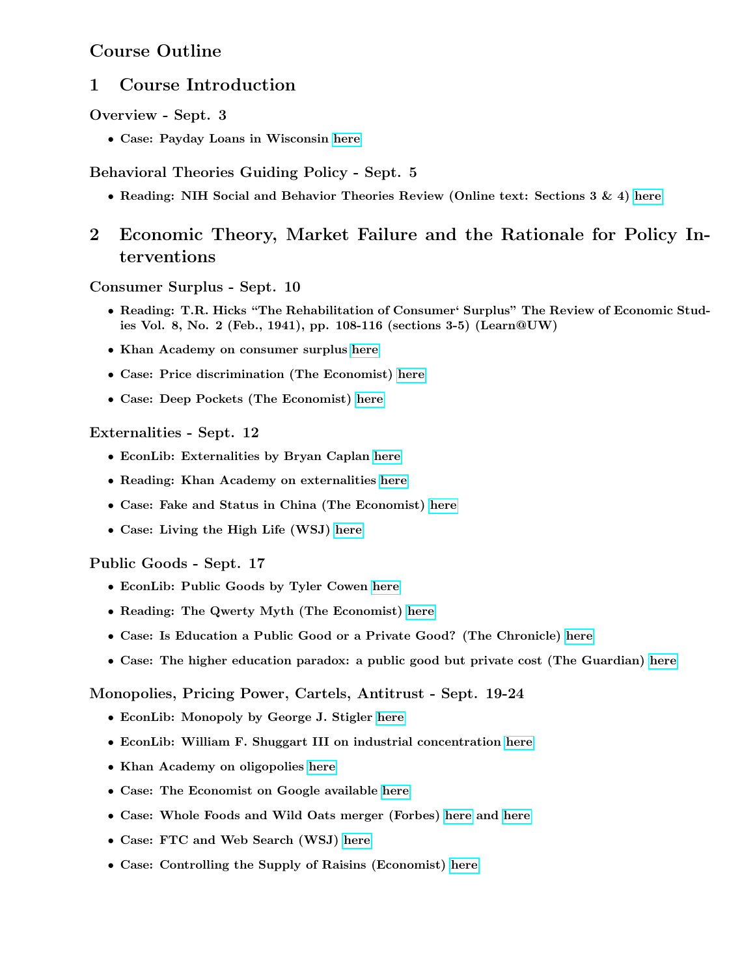# Course Outline

# 1 Course Introduction

Overview - Sept. 3

• Case: Payday Loans in Wisconsin [here](http://legis.wisconsin.gov/lrb/pubs/Lb/10Lb3.pdf)

Behavioral Theories Guiding Policy - Sept. 5

• Reading: NIH Social and Behavior Theories Review (Online text: Sections  $3 \& 4$ ) [here](http://www.esourceresearch.org/portals/0/uploads/documents/public/glanz_fullchapter.pdf)

# 2 Economic Theory, Market Failure and the Rationale for Policy Interventions

Consumer Surplus - Sept. 10

- Reading: T.R. Hicks "The Rehabilitation of Consumer' Surplus" The Review of Economic Studies Vol. 8, No. 2 (Feb., 1941), pp. 108-116 (sections 3-5) (Learn@UW)
- Khan Academy on consumer surplus [here](http://www.khanacademy.org/finance-economics/microeconomics/v/consumer-surplus-introduction)
- Case: Price discrimination (The Economist) [here](http://www.economist.com/node/21557755)
- Case: Deep Pockets (The Economist) [here](http://www.economist.com/node/21557798)

## Externalities - Sept. 12

- EconLib: Externalities by Bryan Caplan [here](http://www.econlib.org/library/Enc/Externalities.html)
- Reading: Khan Academy on externalities [here](http://www.khanacademy.org/humanities---other/finance/microeconomics-macroeconomics/v/negative-externalities)
- Case: Fake and Status in China (The Economist) [here](http://www.economist.com/node/21557317)
- Case: Living the High Life (WSJ) [here](http://online.wsj.com/article/SB10000872396390443324404577591364232347238.html)

## Public Goods - Sept. 17

- EconLib: Public Goods by Tyler Cowen [here](http://econlib.org/library/Enc/PublicGoods.html)
- Reading: The Qwerty Myth (The Economist) [here](http://www.economist.com/node/196071)
- Case: Is Education a Public Good or a Private Good? (The Chronicle) [here](http://chronicle.com/blogs/innovations/is-education-a-public-good-or-a-private-good/28329)
- Case: The higher education paradox: a public good but private cost (The Guardian) [here](http://www.guardian.co.uk/higher-education-network/blog/2012/feb/06/campaign-for-the-public-university)

## Monopolies, Pricing Power, Cartels, Antitrust - Sept. 19-24

- EconLib: Monopoly by George J. Stigler [here](http://www.econlib.org/library/Enc/Monopoly.html)
- EconLib: William F. Shuggart III on industrial concentration [here](http://www.econlib.org/library/Enc/IndustrialConcentration.html)
- Khan Academy on oligopolies [here](http://www.khanacademy.org/humanities---other/finance/microeconomics-macroeconomics/v/oligopolies--duopolies--collusion--and-cartels)
- Case: The Economist on Google available [here](http://www.economist.com/node/18897553)
- Case: Whole Foods and Wild Oats merger (Forbes) [here](http://www.forbes.com/2007/06/05/wholefoods-wildoats-organics-markets-equities-cx_ra_0605markets24.html) and [here](http://www.forbes.com/2007/08/23/whole-foods-ftc-markets-equity-cx_cg_0823markets43.html)
- Case: FTC and Web Search (WSJ) [here](http://online.wsj.com/article/SB10000872396390444375104577594010338735918.html)
- Case: Controlling the Supply of Raisins (Economist) [here](http://www.economist.com/news/united-states/21574522-supreme-court-grapples-tiny-fruit-de-minimis-curat-lex)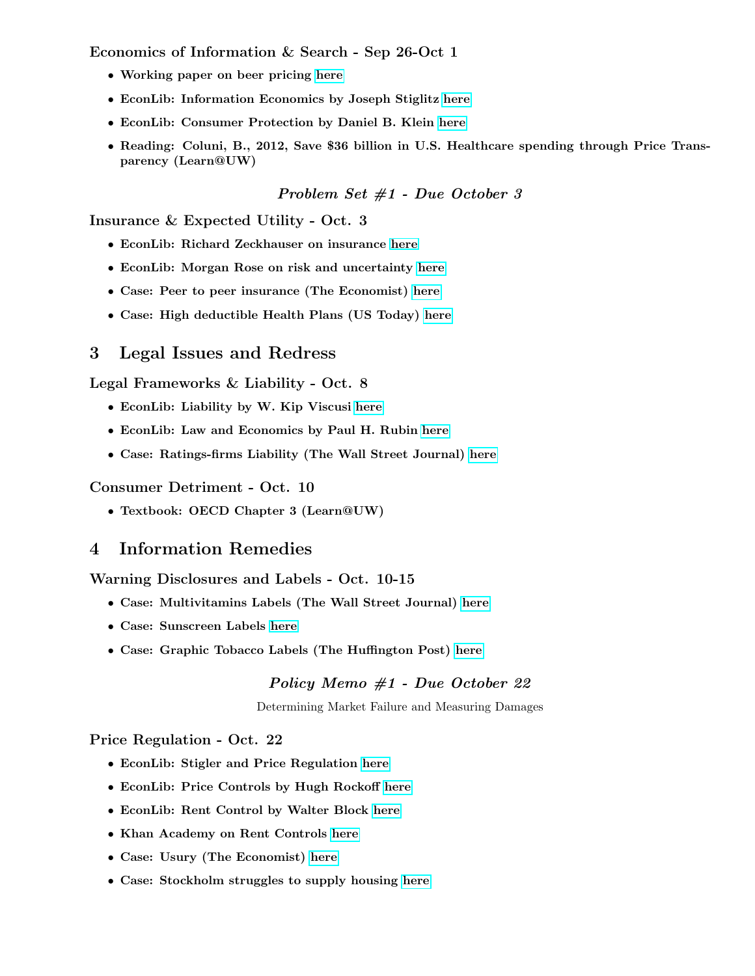Economics of Information & Search - Sep 26-Oct 1

- Working paper on beer pricing [here](http://people.stern.nyu.edu/bakos/wise/papers/wise2009-2b2_paper.pdf)
- EconLib: Information Economics by Joseph Stiglitz [here](http://www.econlib.org/library/Enc/Information.html)
- EconLib: Consumer Protection by Daniel B. Klein [here](http://www.econlib.org/library/Enc/ConsumerProtection.html)
- Reading: Coluni, B., 2012, Save \$36 billion in U.S. Healthcare spending through Price Transparency (Learn@UW)

### Problem Set #1 - Due October 3

Insurance & Expected Utility - Oct. 3

- EconLib: Richard Zeckhauser on insurance [here](http://econlib.org/library/Enc/Insurance.html)
- EconLib: Morgan Rose on risk and uncertainty [here](http://econlib.org/library/Columns/Teachers/riskuncertainty.html)
- Case: Peer to peer insurance (The Economist) [here](http://www.economist.com/blogs/schumpeter/2012/06/peer-peer-insurance)
- Case: High deductible Health Plans (US Today) [here](http://www.usatoday.com/news/washington/2011-05-30-health-care-deductibles-hospital-bills-doctors_n.htm)

# 3 Legal Issues and Redress

Legal Frameworks & Liability - Oct. 8

- EconLib: Liability by W. Kip Viscusi [here](http://econlib.org/library/Enc/Liability.html)
- EconLib: Law and Economics by Paul H. Rubin [here](http://econlib.org/library/Enc/LawandEconomics.html)
- Case: Ratings-firms Liability (The Wall Street Journal) [here](http://online.wsj.com/article/SB10001424052748703650604575313153186936336.html)

#### Consumer Detriment - Oct. 10

• Textbook: OECD Chapter 3 (Learn@UW)

# 4 Information Remedies

Warning Disclosures and Labels - Oct. 10-15

- Case: Multivitamins Labels (The Wall Street Journal) [here](http://online.wsj.com/article/SB10001424052702304070104576397783641749972.html)
- Case: Sunscreen Labels [here](http://www.fda.gov/forconsumers/consumerupdates/ucm258416.htm)
- Case: Graphic Tobacco Labels (The Huffington Post) [here](http://www.huffingtonpost.com/2013/03/19/graphic-cigarette-warning-labels_n_2910101.html)

### Policy Memo #1 - Due October 22

Determining Market Failure and Measuring Damages

### Price Regulation - Oct. 22

- EconLib: Stigler and Price Regulation [here](http://www.econlib.org/library/Enc/bios/Stigler.html)
- EconLib: Price Controls by Hugh Rockoff [here](http://www.econlib.org/library/Enc/PriceControls.html)
- EconLib: Rent Control by Walter Block [here](http://www.econlib.org/library/Enc/RentControl.html)
- Khan Academy on Rent Controls [here](http://www.khanacademy.org/finance-economics/microeconomics/v/rent-control-and-deadweight-loss)
- Case: Usury (The Economist) [here](http://www.economist.com/node/9587533)
- Case: Stockholm struggles to supply housing [here](http://online.wsj.com/article/SB10001424127887324202304579052981642050694.html)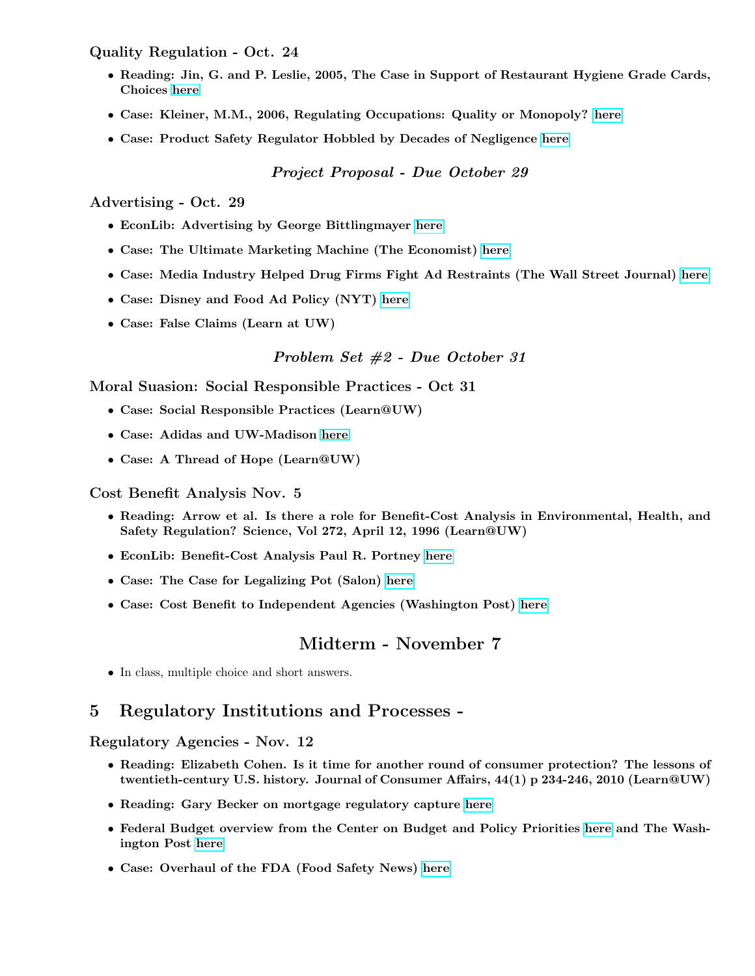Quality Regulation - Oct. 24

- Reading: Jin, G. and P. Leslie, 2005, The Case in Support of Restaurant Hygiene Grade Cards, Choices [here](http://www.choicesmagazine.org/2005-2/safety/2005-2-02.pdf)
- Case: Kleiner, M.M., 2006, Regulating Occupations: Quality or Monopoly? [here](http://research.upjohn.org/cgi/viewcontent.cgi?article=1110&context=empl_research)
- Case: Product Safety Regulator Hobbled by Decades of Negligence [here](http://www.ombwatch.org/node/3599)

Project Proposal - Due October 29

Advertising - Oct. 29

- EconLib: Advertising by George Bittlingmayer [here](http://www.econlib.org/library/Enc/Advertising.html)
- Case: The Ultimate Marketing Machine (The Economist) [here](http://www.economist.com/node/7138905)
- Case: Media Industry Helped Drug Firms Fight Ad Restraints (The Wall Street Journal) [here](http://online.wsj.com/article/SB119033330771134605.html)
- Case: Disney and Food Ad Policy (NYT) [here](http://www.nytimes.com/2012/06/05/business/media/in-nutrition-initiative-disney-to-restrict-advertising.html?_r=3&pagewanted=all)
- Case: False Claims (Learn at UW)

## Problem Set #2 - Due October 31

Moral Suasion: Social Responsible Practices - Oct 31

- Case: Social Responsible Practices (Learn@UW)
- Case: Adidas and UW-Madison [here](http://www.news.wisc.edu/adidas)
- Case: A Thread of Hope (Learn@UW)

Cost Benefit Analysis Nov. 5

- Reading: Arrow et al. Is there a role for Benefit-Cost Analysis in Environmental, Health, and Safety Regulation? Science, Vol 272, April 12, 1996 (Learn@UW)
- EconLib: Benefit-Cost Analysis Paul R. Portney [here](http://www.econlib.org/library/Enc/BenefitCostAnalysis.html)
- Case: The Case for Legalizing Pot (Salon) [here](http://www.salon.com/2012/11/05/the_case_for_legalizing_pot/)
- Case: Cost Benefit to Independent Agencies (Washington Post) [here](http://www.washingtonpost.com/business/economy/bill-to-force-cost-benefit-analysis-of-new-regulations-faces-opposition/2012/11/08/7eb19df6-29ce-11e2-96b6-8e6a7524553f_story.html)

# Midterm - November 7

• In class, multiple choice and short answers.

# 5 Regulatory Institutions and Processes -

### Regulatory Agencies - Nov. 12

- Reading: Elizabeth Cohen. Is it time for another round of consumer protection? The lessons of twentieth-century U.S. history. Journal of Consumer Affairs, 44(1) p 234-246, 2010 (Learn@UW)
- Reading: Gary Becker on mortgage regulatory capture [here](http://www.becker-posner-blog.com/2011/06/capture-of-regulators-by-fannie-mae-and-freddie-mac-becker.html)
- Federal Budget overview from the Center on Budget and Policy Priorities [here](http://www.cbpp.org/cms/index.cfm?fa=view&id=155) and The Washington Post [here](http://www.washingtonpost.com/wp-srv/special/politics/federal-budget-process/)
- Case: Overhaul of the FDA (Food Safety News) [here](http://www.foodsafetynews.com/2010/08/new-study-recommends-overhaul-of-fda/)